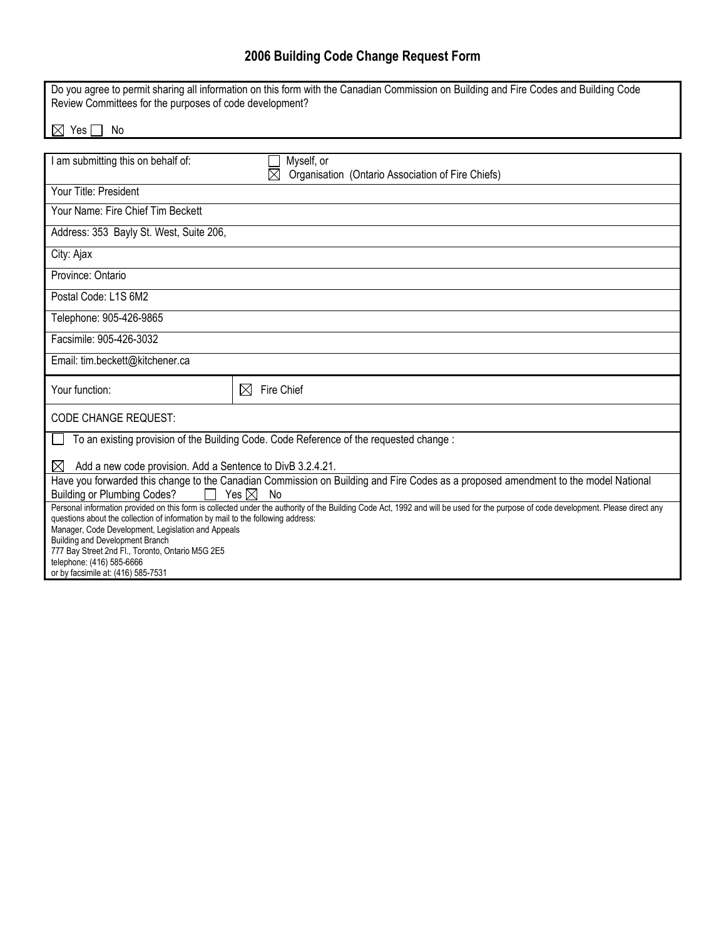## **2006 Building Code Change Request Form**

| Do you agree to permit sharing all information on this form with the Canadian Commission on Building and Fire Codes and Building Code<br>Review Committees for the purposes of code development?                                                                      |                                                                                |  |
|-----------------------------------------------------------------------------------------------------------------------------------------------------------------------------------------------------------------------------------------------------------------------|--------------------------------------------------------------------------------|--|
| $\bowtie$<br>Yes<br>No                                                                                                                                                                                                                                                |                                                                                |  |
|                                                                                                                                                                                                                                                                       |                                                                                |  |
| I am submitting this on behalf of:                                                                                                                                                                                                                                    | Myself, or<br>Organisation (Ontario Association of Fire Chiefs)<br>$\boxtimes$ |  |
| Your Title: President                                                                                                                                                                                                                                                 |                                                                                |  |
| Your Name: Fire Chief Tim Beckett                                                                                                                                                                                                                                     |                                                                                |  |
| Address: 353 Bayly St. West, Suite 206,                                                                                                                                                                                                                               |                                                                                |  |
| City: Ajax                                                                                                                                                                                                                                                            |                                                                                |  |
| Province: Ontario                                                                                                                                                                                                                                                     |                                                                                |  |
| Postal Code: L1S 6M2                                                                                                                                                                                                                                                  |                                                                                |  |
| Telephone: 905-426-9865                                                                                                                                                                                                                                               |                                                                                |  |
| Facsimile: 905-426-3032                                                                                                                                                                                                                                               |                                                                                |  |
| Email: tim.beckett@kitchener.ca                                                                                                                                                                                                                                       |                                                                                |  |
| Your function:                                                                                                                                                                                                                                                        | Fire Chief<br>⊠                                                                |  |
| <b>CODE CHANGE REQUEST:</b>                                                                                                                                                                                                                                           |                                                                                |  |
| To an existing provision of the Building Code. Code Reference of the requested change:                                                                                                                                                                                |                                                                                |  |
| Add a new code provision. Add a Sentence to DivB 3.2.4.21.<br>⊠                                                                                                                                                                                                       |                                                                                |  |
| Have you forwarded this change to the Canadian Commission on Building and Fire Codes as a proposed amendment to the model National<br><b>Building or Plumbing Codes?</b><br>Yes $\boxtimes$<br>No                                                                     |                                                                                |  |
| Personal information provided on this form is collected under the authority of the Building Code Act, 1992 and will be used for the purpose of code development. Please direct any<br>questions about the collection of information by mail to the following address: |                                                                                |  |
| Manager, Code Development, Legislation and Appeals<br>Building and Development Branch                                                                                                                                                                                 |                                                                                |  |
| 777 Bay Street 2nd Fl., Toronto, Ontario M5G 2E5<br>telephone: (416) 585-6666                                                                                                                                                                                         |                                                                                |  |
| or by facsimile at: (416) 585-7531                                                                                                                                                                                                                                    |                                                                                |  |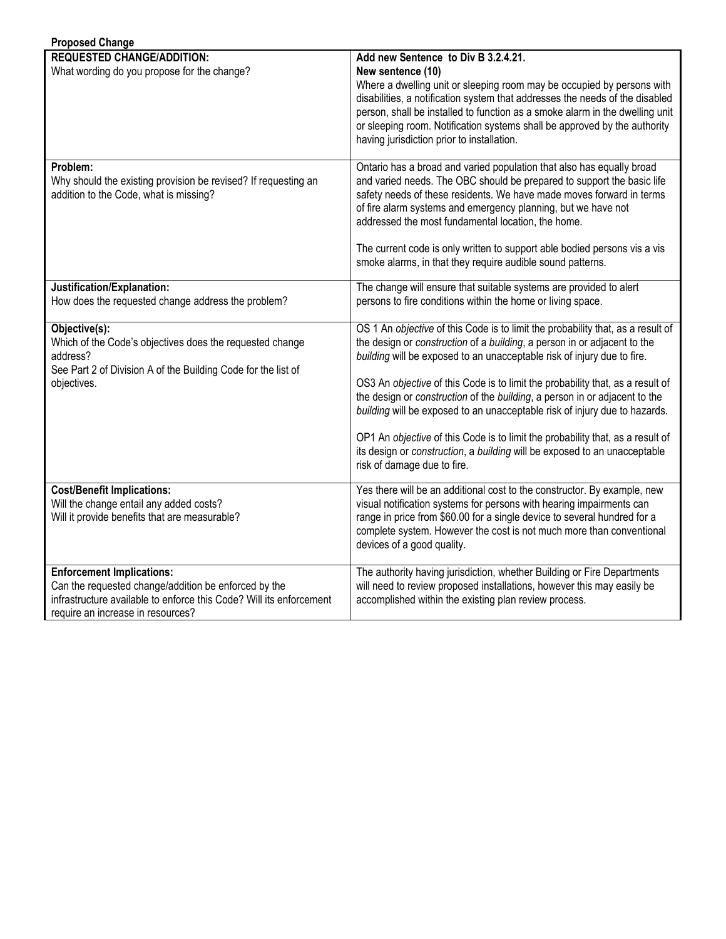| <b>Proposed Change</b>                                                                                                                                                                               |                                                                                                                                                                                                                                                                                                                                                                                                                                                                                                                                                                                                                                                                                    |
|------------------------------------------------------------------------------------------------------------------------------------------------------------------------------------------------------|------------------------------------------------------------------------------------------------------------------------------------------------------------------------------------------------------------------------------------------------------------------------------------------------------------------------------------------------------------------------------------------------------------------------------------------------------------------------------------------------------------------------------------------------------------------------------------------------------------------------------------------------------------------------------------|
| <b>REQUESTED CHANGE/ADDITION:</b><br>What wording do you propose for the change?                                                                                                                     | Add new Sentence to Div B 3.2.4.21.<br>New sentence (10)<br>Where a dwelling unit or sleeping room may be occupied by persons with<br>disabilities, a notification system that addresses the needs of the disabled<br>person, shall be installed to function as a smoke alarm in the dwelling unit<br>or sleeping room. Notification systems shall be approved by the authority<br>having jurisdiction prior to installation.                                                                                                                                                                                                                                                      |
| Problem:<br>Why should the existing provision be revised? If requesting an<br>addition to the Code, what is missing?                                                                                 | Ontario has a broad and varied population that also has equally broad<br>and varied needs. The OBC should be prepared to support the basic life<br>safety needs of these residents. We have made moves forward in terms<br>of fire alarm systems and emergency planning, but we have not<br>addressed the most fundamental location, the home.<br>The current code is only written to support able bodied persons vis a vis<br>smoke alarms, in that they require audible sound patterns.                                                                                                                                                                                          |
| Justification/Explanation:<br>How does the requested change address the problem?                                                                                                                     | The change will ensure that suitable systems are provided to alert<br>persons to fire conditions within the home or living space.                                                                                                                                                                                                                                                                                                                                                                                                                                                                                                                                                  |
| Objective(s):<br>Which of the Code's objectives does the requested change<br>address?<br>See Part 2 of Division A of the Building Code for the list of<br>objectives.                                | OS 1 An objective of this Code is to limit the probability that, as a result of<br>the design or construction of a building, a person in or adjacent to the<br>building will be exposed to an unacceptable risk of injury due to fire.<br>OS3 An objective of this Code is to limit the probability that, as a result of<br>the design or construction of the building, a person in or adjacent to the<br>building will be exposed to an unacceptable risk of injury due to hazards.<br>OP1 An objective of this Code is to limit the probability that, as a result of<br>its design or construction, a building will be exposed to an unacceptable<br>risk of damage due to fire. |
| <b>Cost/Benefit Implications:</b><br>Will the change entail any added costs?<br>Will it provide benefits that are measurable?                                                                        | Yes there will be an additional cost to the constructor. By example, new<br>visual notification systems for persons with hearing impairments can<br>range in price from \$60.00 for a single device to several hundred for a<br>complete system. However the cost is not much more than conventional<br>devices of a good quality.                                                                                                                                                                                                                                                                                                                                                 |
| <b>Enforcement Implications:</b><br>Can the requested change/addition be enforced by the<br>infrastructure available to enforce this Code? Will its enforcement<br>require an increase in resources? | The authority having jurisdiction, whether Building or Fire Departments<br>will need to review proposed installations, however this may easily be<br>accomplished within the existing plan review process.                                                                                                                                                                                                                                                                                                                                                                                                                                                                         |